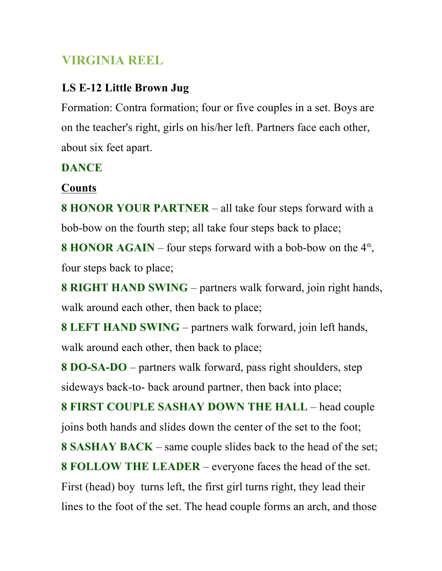## **VIRGINIA REEL**

## **LS E-12 Little Brown Jug**

Formation: Contra formation; four or five couples in a set. Boys are on the teacher's right, girls on his/her left. Partners face each other, about six feet apart.

## **DANCE**

## **Counts**

**8 HONOR YOUR PARTNER** – all take four steps forward with a bob-bow on the fourth step; all take four steps back to place;

**8 HONOR AGAIN** – four steps forward with a bob-bow on the  $4<sup>th</sup>$ , four steps back to place;

**8 RIGHT HAND SWING** – partners walk forward, join right hands, walk around each other, then back to place;

**8 LEFT HAND SWING** – partners walk forward, join left hands, walk around each other, then back to place;

**8 DO-SA-DO** – partners walk forward, pass right shoulders, step sideways back-to- back around partner, then back into place;

**8 FIRST COUPLE SASHAY DOWN THE HALL** – head couple joins both hands and slides down the center of the set to the foot;

**8 SASHAY BACK** – same couple slides back to the head of the set;

**8 FOLLOW THE LEADER** – everyone faces the head of the set.

First (head) boy turns left, the first girl turns right, they lead their lines to the foot of the set. The head couple forms an arch, and those